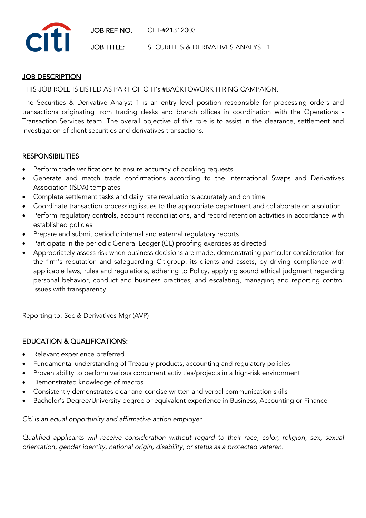JOB REF NO. CITI-#21312003



JOB TITLE: SECURITIES & DERIVATIVES ANALYST 1

## **JOB DESCRIPTION**

THIS JOB ROLE IS LISTED AS PART OF CITI's #BACKTOWORK HIRING CAMPAIGN.

The Securities & Derivative Analyst 1 is an entry level position responsible for processing orders and transactions originating from trading desks and branch offices in coordination with the Operations - Transaction Services team. The overall objective of this role is to assist in the clearance, settlement and investigation of client securities and derivatives transactions.

## **RESPONSIBILITIES**

- Perform trade verifications to ensure accuracy of booking requests
- Generate and match trade confirmations according to the International Swaps and Derivatives Association (ISDA) templates
- Complete settlement tasks and daily rate revaluations accurately and on time
- Coordinate transaction processing issues to the appropriate department and collaborate on a solution
- Perform regulatory controls, account reconciliations, and record retention activities in accordance with established policies
- Prepare and submit periodic internal and external regulatory reports
- Participate in the periodic General Ledger (GL) proofing exercises as directed
- Appropriately assess risk when business decisions are made, demonstrating particular consideration for the firm's reputation and safeguarding Citigroup, its clients and assets, by driving compliance with applicable laws, rules and regulations, adhering to Policy, applying sound ethical judgment regarding personal behavior, conduct and business practices, and escalating, managing and reporting control issues with transparency.

Reporting to: Sec & Derivatives Mgr (AVP)

## EDUCATION & QUALIFICATIONS:

- Relevant experience preferred
- Fundamental understanding of Treasury products, accounting and regulatory policies
- Proven ability to perform various concurrent activities/projects in a high-risk environment
- Demonstrated knowledge of macros
- Consistently demonstrates clear and concise written and verbal communication skills
- Bachelor's Degree/University degree or equivalent experience in Business, Accounting or Finance

*Citi is an equal opportunity and affirmative action employer.*

*Qualified applicants will receive consideration without regard to their race, color, religion, sex, sexual orientation, gender identity, national origin, disability, or status as a protected veteran.*